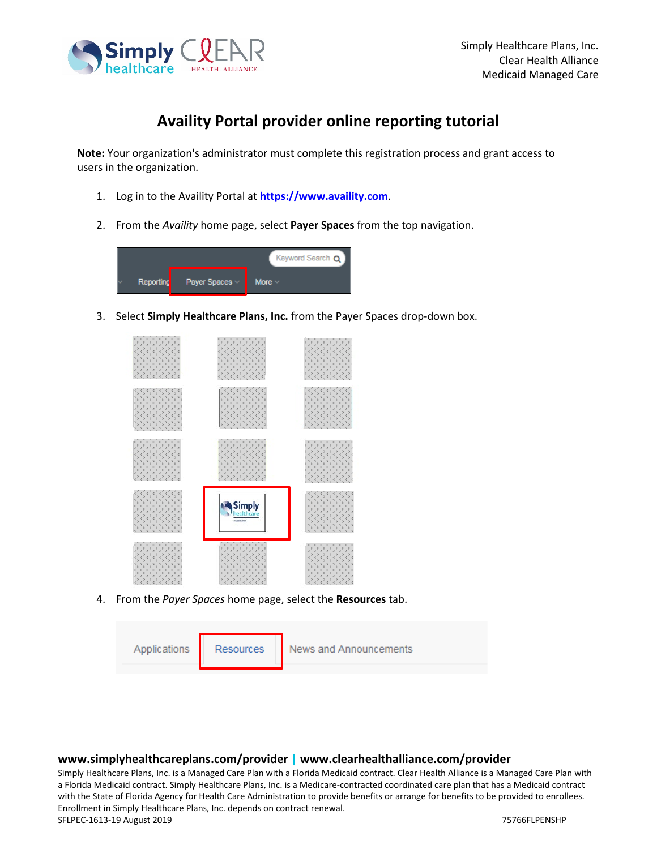

## **Availity Portal provider online reporting tutorial**

**Note:** Your organization's administrator must complete this registration process and grant access to users in the organization.

- 1. Log in to the Availity Portal at **[https://www.availity.com](https://www.availity.com/)**.
- 2. From the *Availity* home page, select **Payer Spaces** from the top navigation.



3. Select **Simply Healthcare Plans, Inc.** from the Payer Spaces drop-down box.



4. From the *Payer Spaces* home page, select the **Resources** tab.

| Applications | <b>Resources</b> | News and Announcements |
|--------------|------------------|------------------------|
|              |                  |                        |

## **www.simplyhealthcareplans.com/provider | www.clearhealthalliance.com/provider**

Simply Healthcare Plans, Inc. is a Managed Care Plan with a Florida Medicaid contract. Clear Health Alliance is a Managed Care Plan with a Florida Medicaid contract. Simply Healthcare Plans, Inc. is a Medicare-contracted coordinated care plan that has a Medicaid contract with the State of Florida Agency for Health Care Administration to provide benefits or arrange for benefits to be provided to enrollees. Enrollment in Simply Healthcare Plans, Inc. depends on contract renewal. SFLPEC-1613-19 August 2019 75766FLPENSHP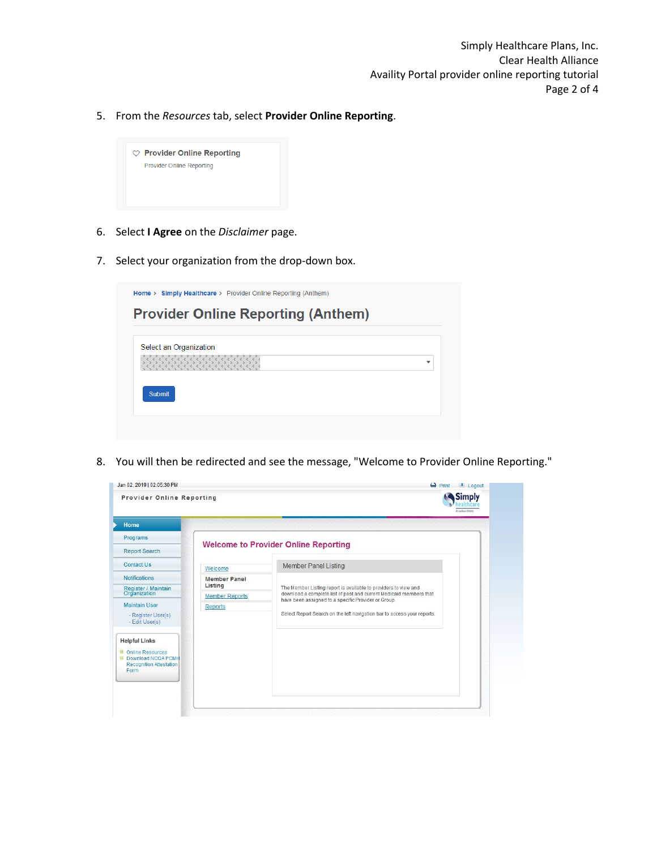5. From the *Resources* tab, select **Provider Online Reporting**.



- 6. Select **I Agree** on the *Disclaimer* page.
- 7. Select your organization from the drop-down box.

| Select an Organization |  |
|------------------------|--|
| is is is is is i       |  |
|                        |  |
| <b>Submit</b>          |  |

8. You will then be redirected and see the message, "Welcome to Provider Online Reporting."

| Home                                                                                              |                                |                                                                                                                                       |  |
|---------------------------------------------------------------------------------------------------|--------------------------------|---------------------------------------------------------------------------------------------------------------------------------------|--|
| Programs                                                                                          |                                | <b>Welcome to Provider Online Reporting</b>                                                                                           |  |
| <b>Report Search</b>                                                                              |                                |                                                                                                                                       |  |
| <b>Contact Us</b>                                                                                 | Welcome                        | <b>Member Panel Listing</b>                                                                                                           |  |
| <b>Notifications</b>                                                                              | <b>Member Panel</b><br>Listing |                                                                                                                                       |  |
| Register / Maintain<br>Organization                                                               | <b>Member Reports</b>          | The Member Listing report is available to providers to view and<br>download a complete list of past and current Medicaid members that |  |
| <b>Maintain User</b>                                                                              | <b>Reports</b>                 | have been assigned to a specific Provider or Group.<br>Select Report Search on the left navigation bar to access your reports.        |  |
| - Register User(s)<br>- Edit User(s)                                                              |                                |                                                                                                                                       |  |
| <b>Helpful Links</b>                                                                              |                                |                                                                                                                                       |  |
| <b>■ Online Resources</b><br><b>EDownload NCQA PCMH</b><br><b>Recognition Attestation</b><br>Form |                                |                                                                                                                                       |  |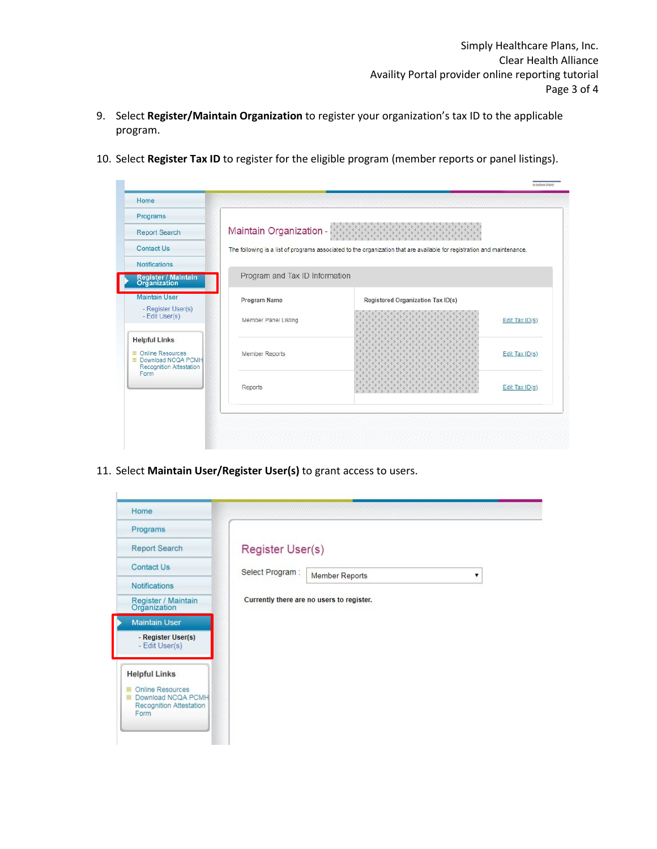- 9. Select **Register/Maintain Organization** to register your organization's tax ID to the applicable program.
- 10. Select **Register Tax ID** to register for the eligible program (member reports or panel listings).

| Programs                                                                                                                  |                                |                                                                                                                         |                |
|---------------------------------------------------------------------------------------------------------------------------|--------------------------------|-------------------------------------------------------------------------------------------------------------------------|----------------|
| <b>Report Search</b>                                                                                                      | Maintain Organization -        | K)<br>$\mathcal{C}_{\mathcal{G}}$                                                                                       |                |
| <b>Contact Us</b>                                                                                                         |                                | The following is a list of programs associated to the organization that are available for registration and maintenance. |                |
| <b>Notifications</b>                                                                                                      |                                |                                                                                                                         |                |
| Register / Maintain<br>Organization                                                                                       | Program and Tax ID Information |                                                                                                                         |                |
| <b>Maintain User</b>                                                                                                      | Program Name                   | <b>Registered Organization Tax ID(s)</b>                                                                                |                |
| - Register User(s)<br>- Edit User(s)                                                                                      | Member Panel Listing           |                                                                                                                         | Edit Tax ID(s) |
| <b>Helpful Links</b><br><b>E</b> Online Resources<br><b>EDownload NCQA PCMH</b><br><b>Recognition Attestation</b><br>Form | Member Reports                 |                                                                                                                         | Edit Tax ID(s) |
|                                                                                                                           | Reports                        | ×.<br>10<br>K)<br>K)                                                                                                    | Edit Tax ID(s) |
|                                                                                                                           |                                |                                                                                                                         |                |

11. Select **Maintain User/Register User(s)** to grant access to users.

| Home                                                                      |                                               |
|---------------------------------------------------------------------------|-----------------------------------------------|
| Programs                                                                  |                                               |
| <b>Report Search</b>                                                      | Register User(s)                              |
| <b>Contact Us</b>                                                         | Select Program:<br><b>Member Reports</b><br>▼ |
| <b>Notifications</b>                                                      |                                               |
| Register / Maintain<br>Organization                                       | Currently there are no users to register.     |
| <b>Maintain User</b>                                                      |                                               |
| - Register User(s)<br>- Edit User(s)                                      |                                               |
| <b>Helpful Links</b>                                                      |                                               |
| Online Resources<br>Download NCQA PCMH<br>Recognition Attestation<br>Form |                                               |